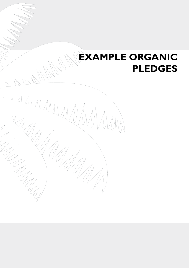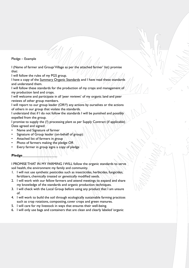## Pledge – Example

I (Name of farmer and Group/ Village as per the attached farmer' list) promise that:

I will follow the rules of my PGS group.

I have a copy of the Summary Organic Standards and I have read these standards and understand them.

I will follow these standards for the production of my crops and management of my production land and crops.

I will welcome and participate in all 'peer reviews' of my organic land and peer reviews of other group members.

I will report to our group leader (OR??) any actions by ourselves or the actions of others in our group that violate the standards.

I understand that if I do not follow the standards I will be punished and possibly expelled from the group.

I promise to supply the (?) processing plant as per Supply Contract (if applicable) Date agreed and signed:

- Name and Signature of farmer
- Signature of Group leader (on-behalf of group):
- Attached list of farmers in group
- Photo of farmers making the pledge  $OR$
- Every farmer in group signs a copy of pledge

## **Pledge\_\_\_\_\_\_\_\_\_\_\_\_\_\_\_\_\_\_\_\_**

I PROMISE THAT IN MY FARMING I WILL follow the organic standards to serve soil health, the environment my family and community.

- 1. I will not use synthetic pesticides such as insecticides, herbicides, fungicides, fertilizers, chemically treated or genetically modified seeds.
- 2. I will work with our fellow farmers and attend meetings to expand and share my knowledge of the standards and organic production techniques.
- 3. I will check with the Local Group before using any product that I am unsure of.
- 4. I will work to build the soil through ecologically sustainable farming practices such as crop rotations, composting, cover crops and green manures.
- 5. I will care for my livestock in ways that ensures their well-being.
- 6. I will only use bags and containers that are clean and clearly labeled 'organic